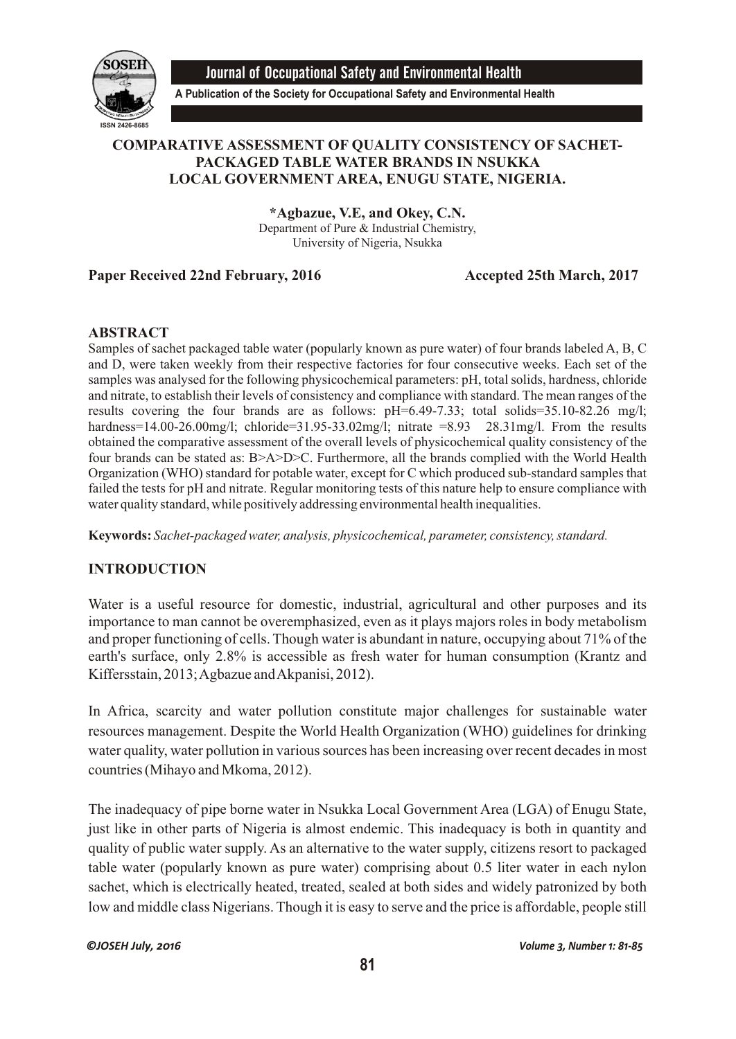

Journal of Occupational Safety and Environmental Health

**A Publication of the Society for Occupational Safety and Environmental Health**

# **COMPARATIVE ASSESSMENT OF QUALITY CONSISTENCY OF SACHET-PACKAGED TABLE WATER BRANDS IN NSUKKA LOCAL GOVERNMENT AREA, ENUGU STATE, NIGERIA.**

**\*Agbazue, V.E, and Okey, C.N.** Department of Pure & Industrial Chemistry, University of Nigeria, Nsukka

# **Paper Received 22nd February, 2016** Accepted 25th March, 2017

## **ABSTRACT**

Samples of sachet packaged table water (popularly known as pure water) of four brands labeled A, B, C and D, were taken weekly from their respective factories for four consecutive weeks. Each set of the samples was analysed for the following physicochemical parameters: pH, total solids, hardness, chloride and nitrate, to establish their levels of consistency and compliance with standard. The mean ranges of the results covering the four brands are as follows: pH=6.49-7.33; total solids=35.10-82.26 mg/l; hardness= $14.00-26.00$ mg/l; chloride= $31.95-33.02$ mg/l; nitrate =8.93 28.31mg/l. From the results obtained the comparative assessment of the overall levels of physicochemical quality consistency of the four brands can be stated as: B>A>D>C. Furthermore, all the brands complied with the World Health Organization (WHO) standard for potable water, except for C which produced sub-standard samples that failed the tests for pH and nitrate. Regular monitoring tests of this nature help to ensure compliance with water quality standard, while positively addressing environmental health inequalities.

**Keywords:** *Sachet-packaged water, analysis, physicochemical, parameter, consistency, standard.*

# **INTRODUCTION**

Water is a useful resource for domestic, industrial, agricultural and other purposes and its importance to man cannot be overemphasized, even as it plays majors roles in body metabolism and proper functioning of cells. Though water is abundant in nature, occupying about 71% of the earth's surface, only 2.8% is accessible as fresh water for human consumption (Krantz and Kiffersstain, 2013; Agbazue and Akpanisi, 2012).

In Africa, scarcity and water pollution constitute major challenges for sustainable water resources management. Despite the World Health Organization (WHO) guidelines for drinking water quality, water pollution in various sources has been increasing over recent decades in most countries (Mihayo and Mkoma, 2012).

The inadequacy of pipe borne water in Nsukka Local Government Area (LGA) of Enugu State, just like in other parts of Nigeria is almost endemic. This inadequacy is both in quantity and quality of public water supply. As an alternative to the water supply, citizens resort to packaged table water (popularly known as pure water) comprising about 0.5 liter water in each nylon sachet, which is electrically heated, treated, sealed at both sides and widely patronized by both low and middle class Nigerians. Though it is easy to serve and the price is affordable, people still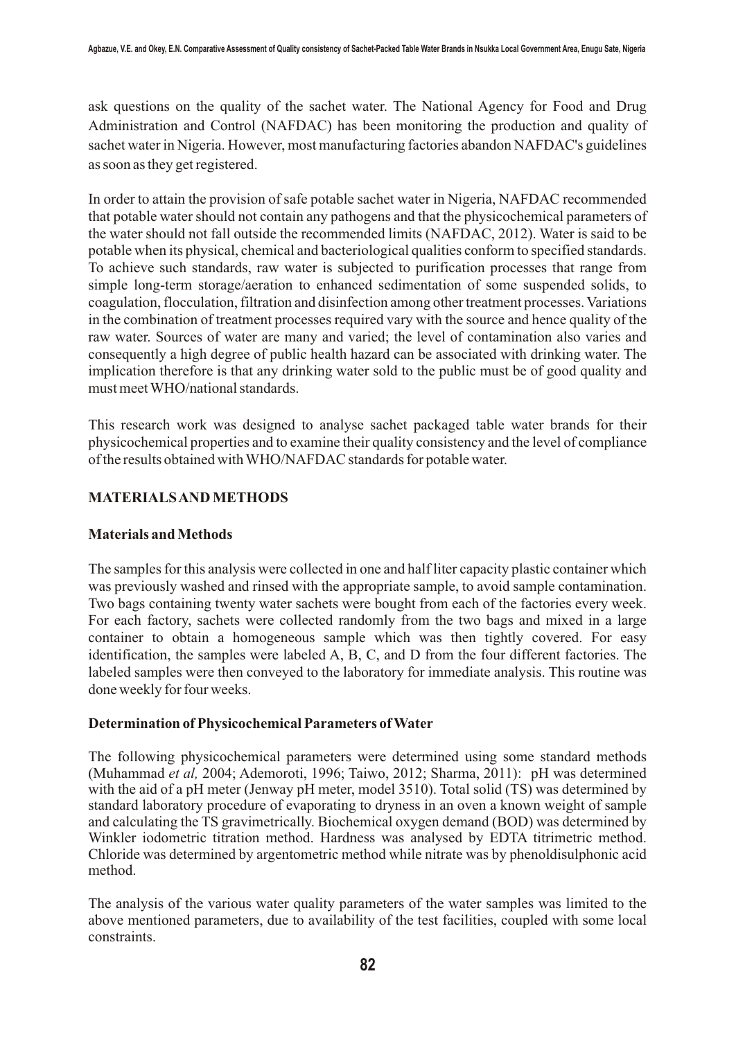ask questions on the quality of the sachet water. The National Agency for Food and Drug Administration and Control (NAFDAC) has been monitoring the production and quality of sachet water in Nigeria. However, most manufacturing factories abandon NAFDAC's guidelines as soon as they get registered.

In order to attain the provision of safe potable sachet water in Nigeria, NAFDAC recommended that potable water should not contain any pathogens and that the physicochemical parameters of the water should not fall outside the recommended limits (NAFDAC, 2012). Water is said to be potable when its physical, chemical and bacteriological qualities conform to specified standards. To achieve such standards, raw water is subjected to purification processes that range from simple long-term storage/aeration to enhanced sedimentation of some suspended solids, to coagulation, flocculation, filtration and disinfection among other treatment processes. Variations in the combination of treatment processes required vary with the source and hence quality of the raw water. Sources of water are many and varied; the level of contamination also varies and consequently a high degree of public health hazard can be associated with drinking water. The implication therefore is that any drinking water sold to the public must be of good quality and must meet WHO/national standards.

This research work was designed to analyse sachet packaged table water brands for their physicochemical properties and to examine their quality consistency and the level of compliance of the results obtained with WHO/NAFDAC standards for potable water.

## **MATERIALS AND METHODS**

## **Materials and Methods**

The samples for this analysis were collected in one and half liter capacity plastic container which was previously washed and rinsed with the appropriate sample, to avoid sample contamination. Two bags containing twenty water sachets were bought from each of the factories every week. For each factory, sachets were collected randomly from the two bags and mixed in a large container to obtain a homogeneous sample which was then tightly covered. For easy identification, the samples were labeled A, B, C, and D from the four different factories. The labeled samples were then conveyed to the laboratory for immediate analysis. This routine was done weekly for four weeks.

#### **Determination of Physicochemical Parameters of Water**

The following physicochemical parameters were determined using some standard methods (Muhammad *et al,* 2004; Ademoroti, 1996; Taiwo, 2012; Sharma, 2011): pH was determined with the aid of a pH meter (Jenway pH meter, model 3510). Total solid (TS) was determined by standard laboratory procedure of evaporating to dryness in an oven a known weight of sample and calculating the TS gravimetrically. Biochemical oxygen demand (BOD) was determined by Winkler iodometric titration method. Hardness was analysed by EDTA titrimetric method. Chloride was determined by argentometric method while nitrate was by phenoldisulphonic acid method.

The analysis of the various water quality parameters of the water samples was limited to the above mentioned parameters, due to availability of the test facilities, coupled with some local constraints.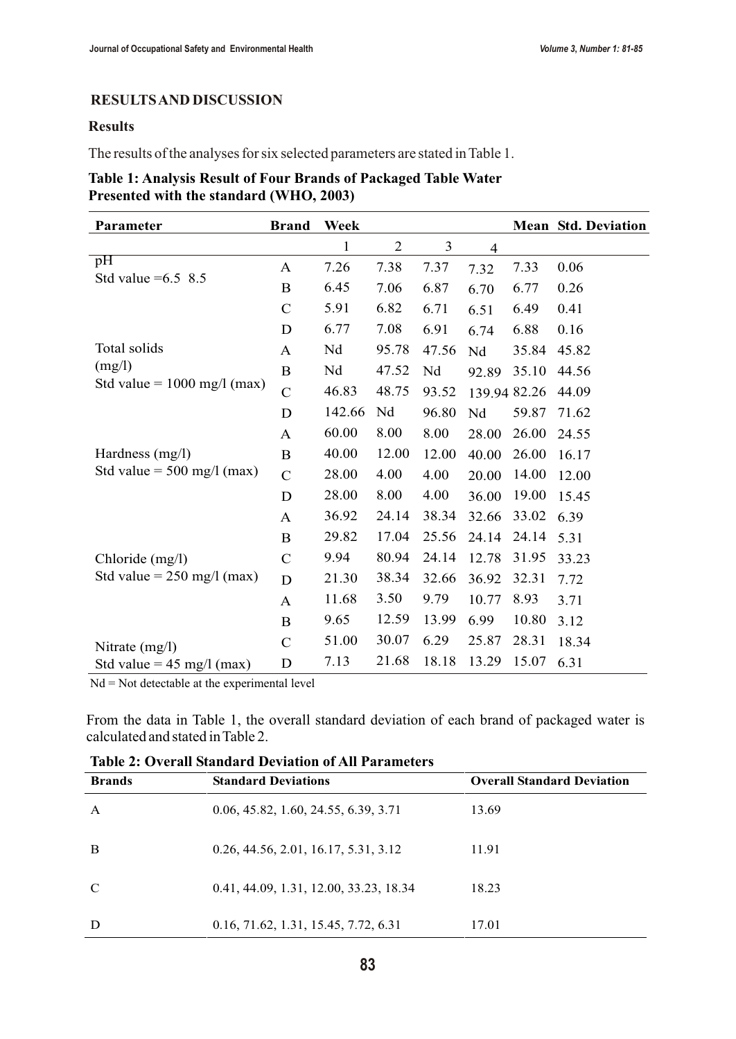## **RESULTS AND DISCUSSION**

### **Results**

The results of the analyses for six selected parameters are stated in Table 1.

| Table 1: Analysis Result of Four Brands of Packaged Table Water |  |
|-----------------------------------------------------------------|--|
| Presented with the standard (WHO, 2003)                         |  |

| Parameter                                                 | <b>Brand</b>   | Week   |                |       |              |       | <b>Mean Std. Deviation</b> |
|-----------------------------------------------------------|----------------|--------|----------------|-------|--------------|-------|----------------------------|
|                                                           |                | 1      | $\overline{2}$ | 3     | 4            |       |                            |
| $\overline{p}$ H<br>Std value $=6.5$ 8.5                  | A              | 7.26   | 7.38           | 7.37  | 7.32         | 7.33  | 0.06                       |
|                                                           | $\bf{B}$       | 6.45   | 7.06           | 6.87  | 6.70         | 6.77  | 0.26                       |
|                                                           | $\mathcal{C}$  | 5.91   | 6.82           | 6.71  | 6.51         | 6.49  | 0.41                       |
|                                                           | D              | 6.77   | 7.08           | 6.91  | 6.74         | 6.88  | 0.16                       |
| Total solids                                              | A              | Nd     | 95.78          | 47.56 | Nd           | 35.84 | 45.82                      |
| (mg/l)<br>Std value = $1000$ mg/l (max)                   | B              | Nd     | 47.52          | Nd    | 92.89        | 35.10 | 44.56                      |
|                                                           | $\overline{C}$ | 46.83  | 48.75          | 93.52 | 139.94 82.26 |       | 44.09                      |
|                                                           | D              | 142.66 | Nd             | 96.80 | Nd           | 59.87 | 71.62                      |
|                                                           | A              | 60.00  | 8.00           | 8.00  | 28.00        | 26.00 | 24.55                      |
| Hardness $(mg/l)$<br>Std value = $500 \text{ mg/l (max)}$ | $\bf{B}$       | 40.00  | 12.00          | 12.00 | 40.00        | 26.00 | 16.17                      |
|                                                           | $\mathbf C$    | 28.00  | 4.00           | 4.00  | 20.00        | 14.00 | 12.00                      |
|                                                           | D              | 28.00  | 8.00           | 4.00  | 36.00        | 19.00 | 15.45                      |
|                                                           | A              | 36.92  | 24.14          | 38.34 | 32.66        | 33.02 | 6.39                       |
|                                                           | $\bf{B}$       | 29.82  | 17.04          | 25.56 | 24.14        | 24.14 | 5.31                       |
| Chloride (mg/l)                                           | $\mathbf C$    | 9.94   | 80.94          | 24.14 | 12.78        | 31.95 | 33.23                      |
| Std value = $250 \text{ mg/l (max)}$                      | D              | 21.30  | 38.34          | 32.66 | 36.92        | 32.31 | 7.72                       |
|                                                           | A              | 11.68  | 3.50           | 9.79  | 10.77        | 8.93  | 3.71                       |
|                                                           | $\bf{B}$       | 9.65   | 12.59          | 13.99 | 6.99         | 10.80 | 3.12                       |
| Nitrate $(mg/l)$                                          | $\mathcal{C}$  | 51.00  | 30.07          | 6.29  | 25.87        | 28.31 | 18.34                      |
| Std value = $45 \text{ mg/l (max)}$                       | D              | 7.13   | 21.68          | 18.18 | 13.29        | 15.07 | 6.31                       |

Nd = Not detectable at the experimental level

From the data in Table 1, the overall standard deviation of each brand of packaged water is calculated and stated in Table 2.

| <b>Brands</b> | <b>Standard Deviations</b>             | <b>Overall Standard Deviation</b> |
|---------------|----------------------------------------|-----------------------------------|
| $\mathsf{A}$  | 0.06, 45.82, 1.60, 24.55, 6.39, 3.71   | 13.69                             |
| B             | 0.26, 44.56, 2.01, 16.17, 5.31, 3.12   | 11.91                             |
| $\mathbf C$   | 0.41, 44.09, 1.31, 12.00, 33.23, 18.34 | 18.23                             |
| D             | 0.16, 71.62, 1.31, 15.45, 7.72, 6.31   | 17.01                             |

**Table 2: Overall Standard Deviation of All Parameters**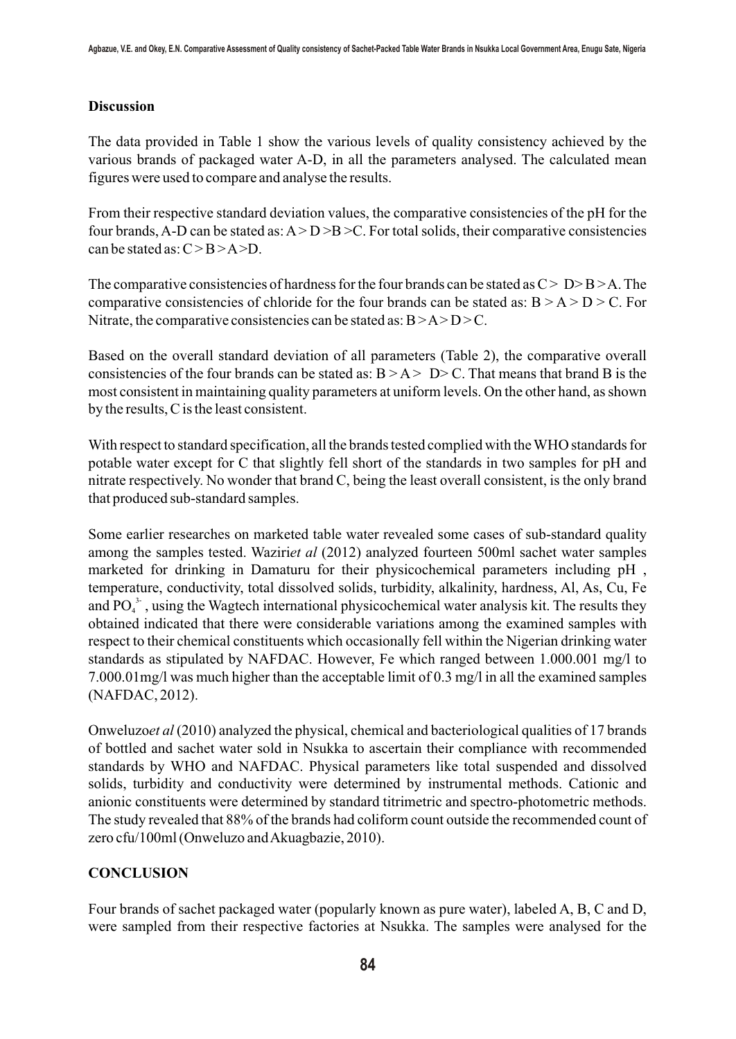#### **Discussion**

The data provided in Table 1 show the various levels of quality consistency achieved by the various brands of packaged water A-D, in all the parameters analysed. The calculated mean figures were used to compare and analyse the results.

From their respective standard deviation values, the comparative consistencies of the pH for the four brands, A-D can be stated as:  $A > D > B > C$ . For total solids, their comparative consistencies can be stated as:  $C > B > A > D$ .

The comparative consistencies of hardness for the four brands can be stated as  $C > D > B > A$ . The comparative consistencies of chloride for the four brands can be stated as:  $B > A > D > C$ . For Nitrate, the comparative consistencies can be stated as:  $B > A > D > C$ .

Based on the overall standard deviation of all parameters (Table 2), the comparative overall consistencies of the four brands can be stated as:  $B > A > D > C$ . That means that brand B is the most consistent in maintaining quality parameters at uniform levels. On the other hand, as shown by the results, C is the least consistent.

With respect to standard specification, all the brands tested complied with the WHO standards for potable water except for C that slightly fell short of the standards in two samples for pH and nitrate respectively. No wonder that brand C, being the least overall consistent, is the only brand that produced sub-standard samples.

Some earlier researches on marketed table water revealed some cases of sub-standard quality among the samples tested. Waziri*et al* (2012) analyzed fourteen 500ml sachet water samples marketed for drinking in Damaturu for their physicochemical parameters including pH , temperature, conductivity, total dissolved solids, turbidity, alkalinity, hardness, Al, As, Cu, Fe and  $PQ_4^3$ , using the Wagtech international physicochemical water analysis kit. The results they obtained indicated that there were considerable variations among the examined samples with respect to their chemical constituents which occasionally fell within the Nigerian drinking water standards as stipulated by NAFDAC. However, Fe which ranged between 1.000.001 mg/l to 7.000.01mg/l was much higher than the acceptable limit of 0.3 mg/l in all the examined samples (NAFDAC, 2012).

Onweluzo*et al* (2010) analyzed the physical, chemical and bacteriological qualities of 17 brands of bottled and sachet water sold in Nsukka to ascertain their compliance with recommended standards by WHO and NAFDAC. Physical parameters like total suspended and dissolved solids, turbidity and conductivity were determined by instrumental methods. Cationic and anionic constituents were determined by standard titrimetric and spectro-photometric methods. The study revealed that 88% of the brands had coliform count outside the recommended count of zero cfu/100ml (Onweluzo and Akuagbazie, 2010).

# **CONCLUSION**

Four brands of sachet packaged water (popularly known as pure water), labeled A, B, C and D, were sampled from their respective factories at Nsukka. The samples were analysed for the